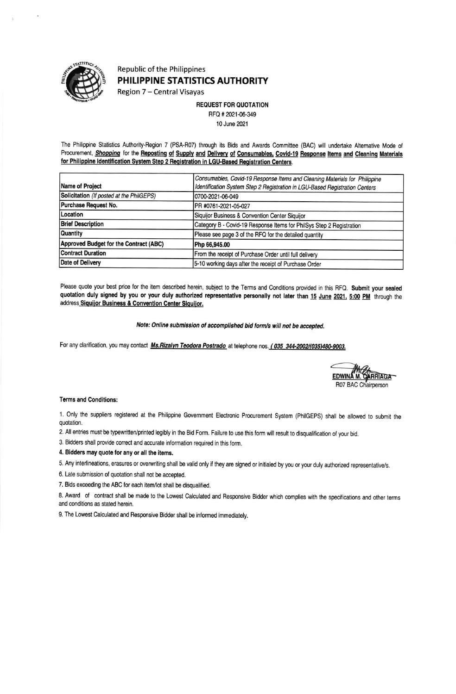

## **Republic of the Philippines** PHILIPPINE STATISTICS AUTHORITY

Region 7 - Central Visayas

**REQUEST FOR QUOTATION** 

RFQ # 2021-06-349 10 June 2021

The Philippine Statistics Authority-Region 7 (PSA-R07) through its Bids and Awards Committee (BAC) will undertake Alternative Mode of Procurement, Shopping for the Reposting of Supply and Delivery of Consumables, Covid-19 Response Items and Cleaning Materials for Philippine Identification System Step 2 Registration in LGU-Based Registration Centers.

|                                          | Consumables, Covid-19 Response Items and Cleaning Materials for Philippine  |  |  |  |  |  |  |
|------------------------------------------|-----------------------------------------------------------------------------|--|--|--|--|--|--|
| Name of Project                          | Identification System Step 2 Registration in LGU-Based Registration Centers |  |  |  |  |  |  |
| Solicitation (If posted at the PhilGEPS) | 0700-2021-06-049                                                            |  |  |  |  |  |  |
| Purchase Request No.                     | PR #0761-2021-05-027                                                        |  |  |  |  |  |  |
| Location                                 | Siquijor Business & Convention Center Siquijor                              |  |  |  |  |  |  |
| <b>Brief Description</b>                 | Category B - Covid-19 Response Items for PhilSys Step 2 Registration        |  |  |  |  |  |  |
| Quantity                                 | Please see page 3 of the RFQ for the detailed quantity                      |  |  |  |  |  |  |
| Approved Budget for the Contract (ABC)   | Php 66,945.00                                                               |  |  |  |  |  |  |
| <b>Contract Duration</b>                 | From the receipt of Purchase Order until full delivery                      |  |  |  |  |  |  |
| Date of Delivery                         | 5-10 working days after the receipt of Purchase Order                       |  |  |  |  |  |  |

Please quote your best price for the item described herein, subject to the Terms and Conditions provided in this RFQ. Submit your sealed quotation duly signed by you or your duly authorized representative personally not later than 15 June 2021, 5:00 PM through the address Siquijor Business & Convention Center Siquijor.

Note: Online submission of accomplished bid form/s will not be accepted.

For any clarification, you may contact Ms. Rizalyn Teodora Postrado at telephone nos. (035 344-2002/(035)480-9003.



## **Terms and Conditions:**

1. Only the suppliers registered at the Philippine Government Electronic Procurement System (PhilGEPS) shall be allowed to submit the quotation.

2. All entries must be typewritten/printed legibly in the Bid Form. Failure to use this form will result to disqualification of your bid.

3. Bidders shall provide correct and accurate information required in this form.

4. Bidders may quote for any or all the items.

5. Any interlineations, erasures or overwriting shall be valid only if they are signed or initialed by you or your duly authorized representative/s.

6. Late submission of quotation shall not be accepted.

7. Bids exceeding the ABC for each item/lot shall be disqualified.

8. Award of contract shall be made to the Lowest Calculated and Responsive Bidder which complies with the specifications and other terms and conditions as stated herein.

9. The Lowest Calculated and Responsive Bidder shall be informed immediately.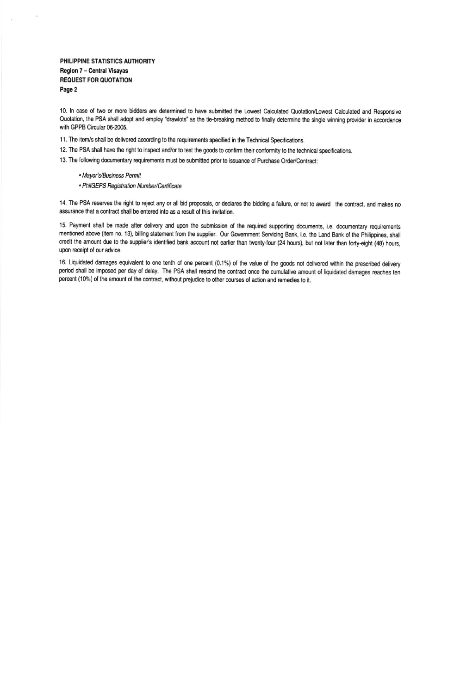PHILIPPINE STATISTICS AUTHORITY Region 7 - Central Visayas **REQUEST FOR QUOTATION** Page 2

10. In case of two or more bidders are determined to have submitted the Lowest Calculated Quotation/Lowest Calculated and Responsive Quotation, the PSA shall adopt and employ "drawlots" as the tie-breaking method to finally determine the single winning provider in accordance with GPPB Circular 06-2005.

- 11. The item/s shall be delivered according to the requirements specified in the Technical Specifications.
- 12. The PSA shall have the right to inspect and/or to test the goods to confirm their conformity to the technical specifications.

13. The following documentary requirements must be submitted prior to issuance of Purchase Order/Contract:

- Mayor's/Business Permit
- · PhilGEPS Registration Number/Certificate

14. The PSA reserves the right to reject any or all bid proposals, or declares the bidding a failure, or not to award the contract, and makes no assurance that a contract shall be entered into as a result of this invitation.

15. Payment shall be made after delivery and upon the submission of the required supporting documents, i.e. documentary requirements mentioned above (item no. 13), billing statement from the supplier. Our Government Servicing Bank, i.e. the Land Bank of the Philippines, shall credit the amount due to the supplier's identified bank account not earlier than twenty-four (24 hours), but not later than forty-eight (48) hours, upon receipt of our advice.

16. Liquidated damages equivalent to one tenth of one percent (0.1%) of the value of the goods not delivered within the prescribed delivery period shall be imposed per day of delay. The PSA shall rescind the contract once the cumulative amount of liquidated damages reaches ten percent (10%) of the amount of the contract, without prejudice to other courses of action and remedies to it.